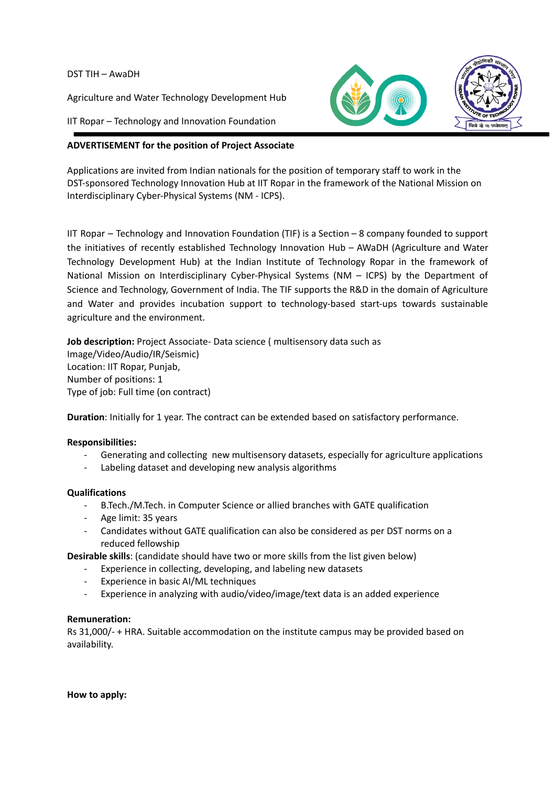DST TIH – AwaDH

Agriculture and Water Technology Development Hub

IIT Ropar – Technology and Innovation Foundation



Applications are invited from Indian nationals for the position of temporary staff to work in the DST-sponsored Technology Innovation Hub at IIT Ropar in the framework of the National Mission on Interdisciplinary Cyber-Physical Systems (NM - ICPS).

IIT Ropar – Technology and Innovation Foundation (TIF) is a Section – 8 company founded to support the initiatives of recently established Technology Innovation Hub – AWaDH (Agriculture and Water Technology Development Hub) at the Indian Institute of Technology Ropar in the framework of National Mission on Interdisciplinary Cyber-Physical Systems (NM – ICPS) by the Department of Science and Technology, Government of India. The TIF supports the R&D in the domain of Agriculture and Water and provides incubation support to technology-based start-ups towards sustainable agriculture and the environment.

**Job description:** Project Associate- Data science ( multisensory data such as Image/Video/Audio/IR/Seismic) Location: IIT Ropar, Punjab, Number of positions: 1 Type of job: Full time (on contract)

**Duration**: Initially for 1 year. The contract can be extended based on satisfactory performance.

## **Responsibilities:**

- Generating and collecting new multisensory datasets, especially for agriculture applications
- Labeling dataset and developing new analysis algorithms

## **Qualifications**

- B.Tech./M.Tech. in Computer Science or allied branches with GATE qualification
- Age limit: 35 years
- Candidates without GATE qualification can also be considered as per DST norms on a reduced fellowship

**Desirable skills**: (candidate should have two or more skills from the list given below)

- Experience in collecting, developing, and labeling new datasets
- Experience in basic AI/ML techniques
- Experience in analyzing with audio/video/image/text data is an added experience

## **Remuneration:**

Rs 31,000/- + HRA. Suitable accommodation on the institute campus may be provided based on availability.

**How to apply:**